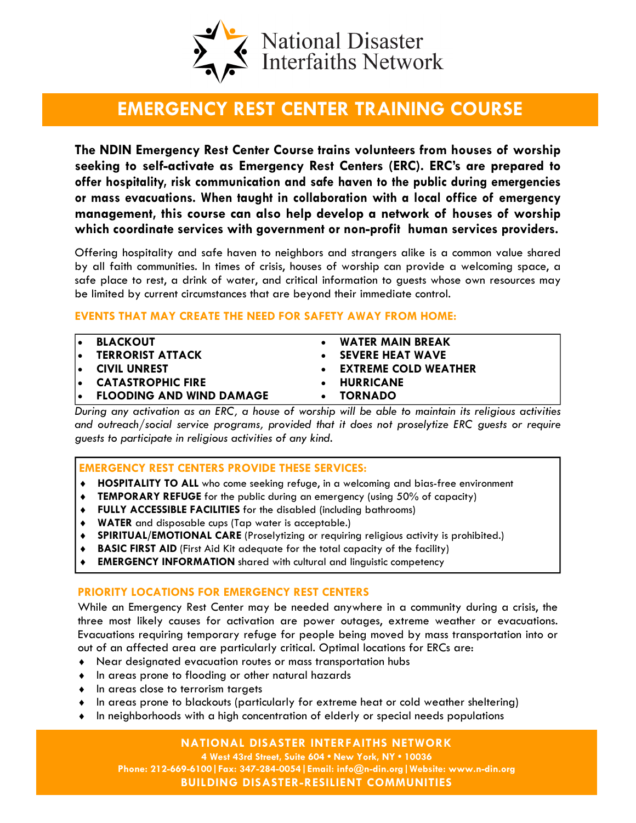

# EMERGENCY REST CENTER TRAINING COURSE

The NDIN Emergency Rest Center Course trains volunteers from houses of worship seeking to self-activate as Emergency Rest Centers (ERC). ERC's are prepared to offer hospitality, risk communication and safe haven to the public during emergencies or mass evacuations. When taught in collaboration with a local office of emergency management, this course can also help develop a network of houses of worship which coordinate services with government or non-profit human services providers.

Offering hospitality and safe haven to neighbors and strangers alike is a common value shared by all faith communities. In times of crisis, houses of worship can provide a welcoming space, a safe place to rest, a drink of water, and critical information to guests whose own resources may be limited by current circumstances that are beyond their immediate control.

#### EVENTS THAT MAY CREATE THE NEED FOR SAFETY AWAY FROM HOME:

| ۱۰ | <b>BLACKOUT</b>                 | <b>WATER MAIN BREAK</b>     |
|----|---------------------------------|-----------------------------|
| ١o | <b>TERRORIST ATTACK</b>         | <b>SEVERE HEAT WAVE</b>     |
|    | <b>E</b> CIVIL UNREST           | <b>EXTREME COLD WEATHER</b> |
|    | <b>EXAGES CATASTROPHIC FIRE</b> | <b>HURRICANE</b>            |
|    | <b>ELOODING AND WIND DAMAGE</b> | <b>TORNADO</b>              |

During any activation as an ERC, a house of worship will be able to maintain its religious activities and outreach/social service programs, provided that it does not proselytize ERC guests or require guests to participate in religious activities of any kind.

#### EMERGENCY REST CENTERS PROVIDE THESE SERVICES:

- ♦ HOSPITALITY TO ALL who come seeking refuge, in a welcoming and bias-free environment
- ♦ TEMPORARY REFUGE for the public during an emergency (using 50% of capacity)
- ♦ FULLY ACCESSIBLE FACILITIES for the disabled (including bathrooms)
- ♦ WATER and disposable cups (Tap water is acceptable.)
- ♦ SPIRITUAL/EMOTIONAL CARE (Proselytizing or requiring religious activity is prohibited.)
- ♦ BASIC FIRST AID (First Aid Kit adequate for the total capacity of the facility)
- **EMERGENCY INFORMATION** shared with cultural and linguistic competency

## PRIORITY LOCATIONS FOR EMERGENCY REST CENTERS

While an Emergency Rest Center may be needed anywhere in a community during a crisis, the three most likely causes for activation are power outages, extreme weather or evacuations. Evacuations requiring temporary refuge for people being moved by mass transportation into or out of an affected area are particularly critical. Optimal locations for ERCs are:

- ♦ Near designated evacuation routes or mass transportation hubs
- ♦ In areas prone to flooding or other natural hazards
- ♦ In areas close to terrorism targets
- ♦ In areas prone to blackouts (particularly for extreme heat or cold weather sheltering)
- ♦ In neighborhoods with a high concentration of elderly or special needs populations

NATIONAL DISASTER INTERFAITHS NETWORK

4 West 43rd Street, Suite 604 • New York, NY • 10036 Phone: 212-669-6100|Fax: 347-284-0054|Email: info@n-din.org|Website: www.n-din.org BUILDING DISASTER-RESILIENT COMMUNITIES